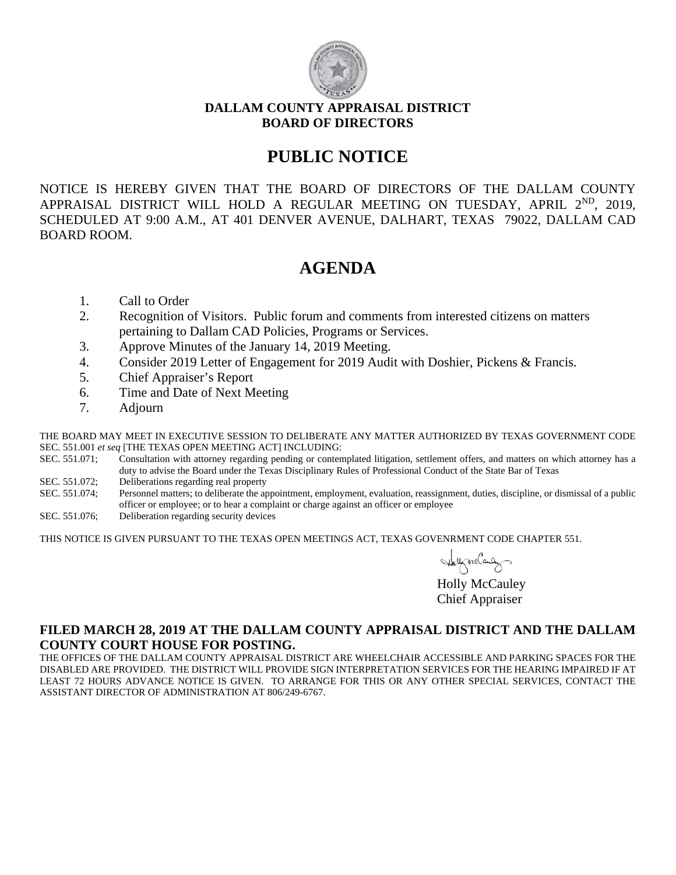

#### **DALLAM COUNTY APPRAISAL DISTRICT BOARD OF DIRECTORS**

# **PUBLIC NOTICE**

NOTICE IS HEREBY GIVEN THAT THE BOARD OF DIRECTORS OF THE DALLAM COUNTY APPRAISAL DISTRICT WILL HOLD A REGULAR MEETING ON TUESDAY, APRIL 2<sup>ND</sup>, 2019, SCHEDULED AT 9:00 A.M., AT 401 DENVER AVENUE, DALHART, TEXAS 79022, DALLAM CAD BOARD ROOM.

# **AGENDA**

- 1. Call to Order
- 2. Recognition of Visitors. Public forum and comments from interested citizens on matters pertaining to Dallam CAD Policies, Programs or Services.
- 3. Approve Minutes of the January 14, 2019 Meeting.
- 4. Consider 2019 Letter of Engagement for 2019 Audit with Doshier, Pickens & Francis.
- 5. Chief Appraiser's Report
- 6. Time and Date of Next Meeting
- 7. Adjourn

 THE BOARD MAY MEET IN EXECUTIVE SESSION TO DELIBERATE ANY MATTER AUTHORIZED BY TEXAS GOVERNMENT CODE SEC. 551.001 *et seq* [THE TEXAS OPEN MEETING ACT] INCLUDING:

SEC. 551.071; Consultation with attorney regarding pending or contemplated litigation, settlement offers, and matters on which attorney has a duty to advise the Board under the Texas Disciplinary Rules of Professional Conduct of the State Bar of Texas

- SEC. 551.072; Deliberations regarding real property
- SEC. 551.074; Personnel matters; to deliberate the appointment, employment, evaluation, reassignment, duties, discipline, or dismissal of a public officer or employee; or to hear a complaint or charge against an officer or employee
- SEC. 551.076; Deliberation regarding security devices

THIS NOTICE IS GIVEN PURSUANT TO THE TEXAS OPEN MEETINGS ACT, TEXAS GOVENRMENT CODE CHAPTER 551.

Holly McCauley

Chief Appraiser

### **FILED MARCH 28, 2019 AT THE DALLAM COUNTY APPRAISAL DISTRICT AND THE DALLAM COUNTY COURT HOUSE FOR POSTING.**

THE OFFICES OF THE DALLAM COUNTY APPRAISAL DISTRICT ARE WHEELCHAIR ACCESSIBLE AND PARKING SPACES FOR THE DISABLED ARE PROVIDED. THE DISTRICT WILL PROVIDE SIGN INTERPRETATION SERVICES FOR THE HEARING IMPAIRED IF AT LEAST 72 HOURS ADVANCE NOTICE IS GIVEN. TO ARRANGE FOR THIS OR ANY OTHER SPECIAL SERVICES, CONTACT THE ASSISTANT DIRECTOR OF ADMINISTRATION AT 806/249-6767.